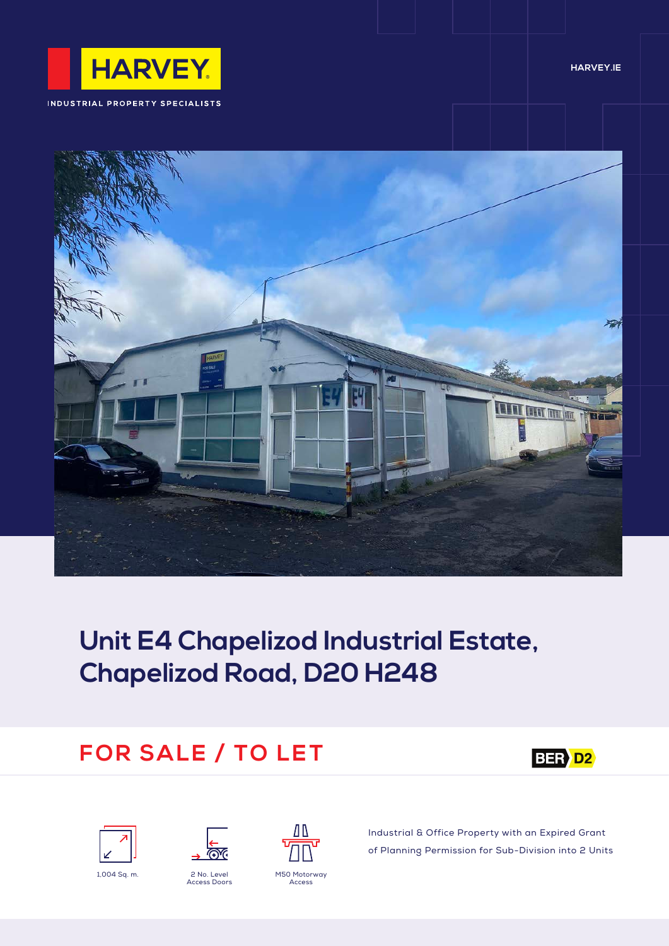

INDUSTRIAL PROPERTY SPECIALISTS

#### **HARVEY.IE**



# **Unit E4 Chapelizod Industrial Estate, Chapelizod Road, D20 H248**

# **FOR SALE / TO LET**







Access Doors



Industrial & Office Property with an Expired Grant of Planning Permission for Sub-Division into 2 Units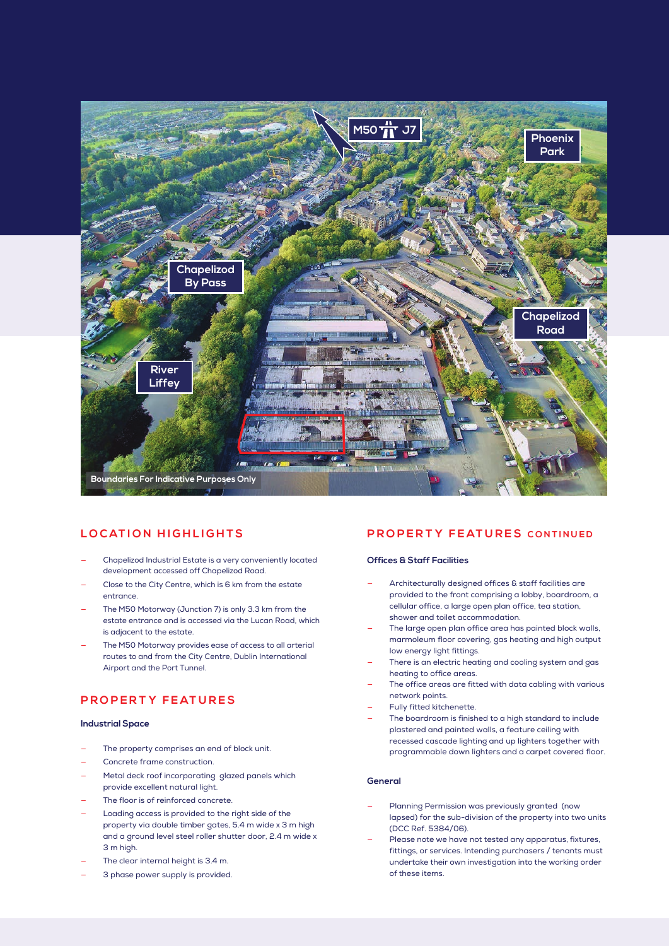

### **LOCATION HIGHLIGHTS**

- Chapelizod Industrial Estate is a very conveniently located development accessed off Chapelizod Road.
- Close to the City Centre, which is 6 km from the estate entrance.
- The M50 Motorway (Junction 7) is only 3.3 km from the estate entrance and is accessed via the Lucan Road, which is adjacent to the estate.
- The M50 Motorway provides ease of access to all arterial routes to and from the City Centre, Dublin International Airport and the Port Tunnel.

# **P R O P E R T Y F E AT U R E S**

#### **Industrial Space**

- The property comprises an end of block unit.
- Concrete frame construction.
- Metal deck roof incorporating glazed panels which provide excellent natural light.
- The floor is of reinforced concrete.
- Loading access is provided to the right side of the property via double timber gates, 5.4 m wide x 3 m high and a ground level steel roller shutter door, 2.4 m wide x 3 m high.
- The clear internal height is 3.4 m.
- 3 phase power supply is provided.

### **PROPERTY FEATURES CONTINUED**

#### **Offices & Staff Facilities**

- Architecturally designed offices & staff facilities are provided to the front comprising a lobby, boardroom, a cellular office, a large open plan office, tea station, shower and toilet accommodation.
- The large open plan office area has painted block walls, marmoleum floor covering, gas heating and high output low energy light fittings.
- There is an electric heating and cooling system and gas heating to office areas.
- The office areas are fitted with data cabling with various network points.
- Fully fitted kitchenette.
- The boardroom is finished to a high standard to include plastered and painted walls, a feature ceiling with recessed cascade lighting and up lighters together with programmable down lighters and a carpet covered floor.

#### **General**

- Planning Permission was previously granted (now lapsed) for the sub-division of the property into two units (DCC Ref. 5384/06).
- Please note we have not tested any apparatus, fixtures, fittings, or services. Intending purchasers / tenants must undertake their own investigation into the working order of these items.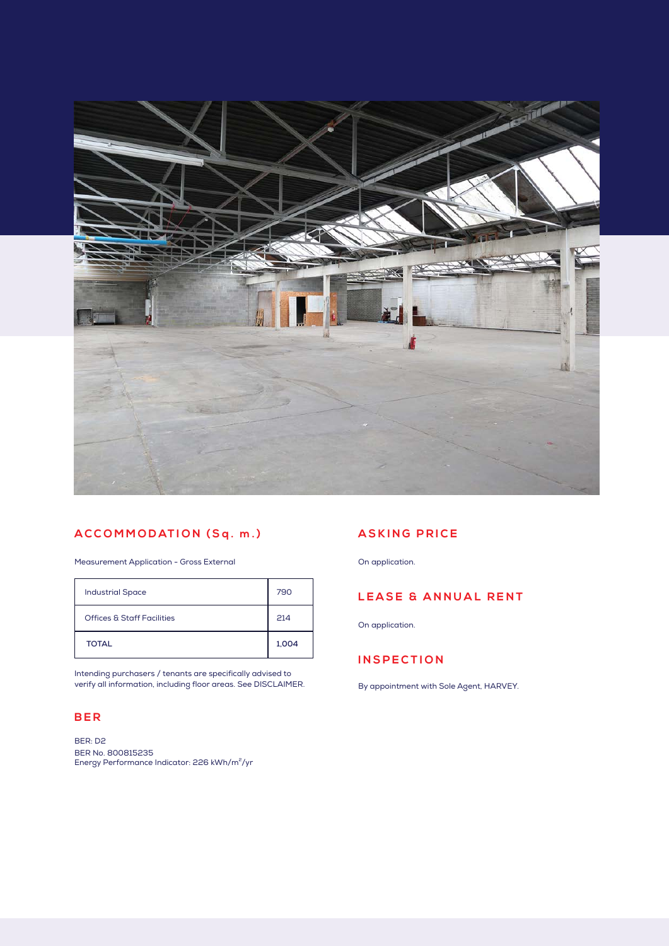

# **ACCOMMODATION (Sq. m.)**

Measurement Application - Gross External

| <b>Industrial Space</b>    | 790   |
|----------------------------|-------|
| Offices & Staff Facilities | 214   |
| <b>TOTAL</b>               | 1,004 |

Intending purchasers / tenants are specifically advised to verify all information, including floor areas. See DISCLAIMER.

### **BER**

BER: D2 BER No. 800815235<br>Energy Performance Indicator: 226 kWh/m<sup>2</sup>/yr

### **ASKING PRICE**

On application.

# **LEASE & ANNUAL RENT**

On application.

# **INSPECTION**

By appointment with Sole Agent, HARVEY.